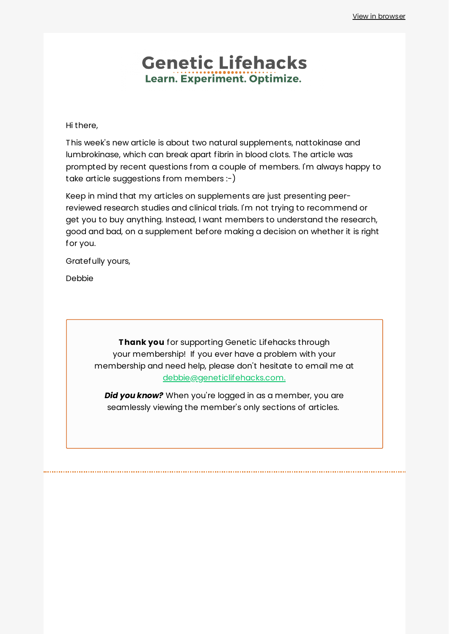## **Genetic Lifehacks** Learn. Experiment. Optimize.

Hi there,

This week's new article is about two natural supplements, nattokinase and lumbrokinase, which can break apart fibrin in blood clots. The article was prompted by recent questions from a couple of members. I'm always happy to take article suggestions from members :-)

Keep in mind that my articles on supplements are just presenting peerreviewed research studies and clinical trials. I'm not trying to recommend or get you to buy anything. Instead, I want members to understand the research, good and bad, on a supplement before making a decision on whether it is right for you.

Gratefully yours,

Debbie

**Thank you** for supporting Genetic Lifehacks through your membership! If you ever have a problem with your membership and need help, please don't hesitate to email me at [debbie@geneticlifehacks.com.](mailto:debbie@geneticlifehacks.com.)

*Did you know?* When you're logged in as a member, you are seamlessly viewing the member's only sections of articles.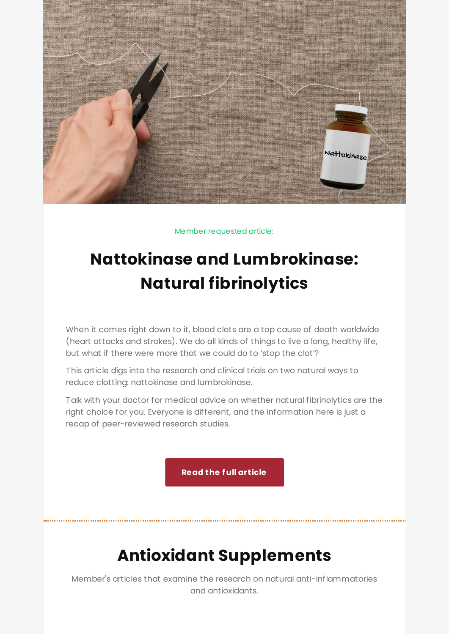

Member requested article:

# **Nattokinase and [Lumbrokinase:](https://www.geneticlifehacks.com/nattokinase-and-lumbrokinase/) Natural fibrinolytics**

When it comes right down to it, blood clots are a top cause of death worldwide (heart attacks and strokes). We do all kinds of things to live a long, healthy life, but what if there were more that we could do to 'stop the clot'?

This article digs into the research and clinical trials on two natural ways to reduce clotting: nattokinase and lumbrokinase.

Talk with your doctor for medical advice on whether natural fibrinolytics are the right choice for you. Everyone is different, and the information here is just a recap of peer-reviewed research studies.

**Read the full [article](https://www.geneticlifehacks.com/nattokinase-and-lumbrokinase/)**

## **Antioxidant Supplements**

Member's articles that examine the research on natural anti-inflammatories and antioxidants.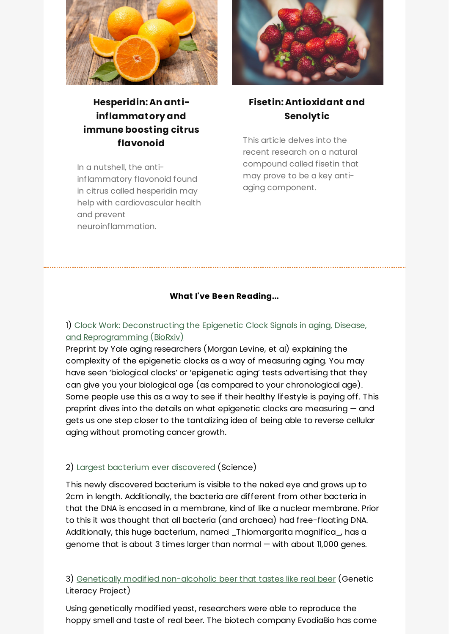

## **Hesperidin: An antiinflammatory and immune boosting citrus flavonoid**

In a nutshell, the antiinflammatory flavonoid found in citrus called hesperidin may help with cardiovascular health and prevent neuroinflammation.



### **Fisetin: [Antioxidant](https://www.geneticlifehacks.com/fisetin-antioxidant-and-senolytic/) and Senolytic**

This article delves into the recent research on a natural compound called fisetin that may prove to be a key antiaging component.

#### **What I've Been Reading...**

#### 1) Clock Work: Deconstructing the Epigenetic Clock Signals in aging, Disease, and [Reprogramming](https://www.biorxiv.org/content/10.1101/2022.02.13.480245v1.full) (BioRxiv)

Preprint by Yale aging researchers (Morgan Levine, et al) explaining the complexity of the epigenetic clocks as a way of measuring aging. You may have seen 'biological clocks' or 'epigenetic aging' tests advertising that they can give you your biological age (as compared to your chronological age). Some people use this as a way to see if their healthy lifestyle is paying off. This preprint dives into the details on what epigenetic clocks are measuring — and gets us one step closer to the tantalizing idea of being able to reverse cellular aging without promoting cancer growth.

#### 2) Largest bacterium ever [discovered](https://www.science.org/content/article/largest-bacterium-ever-discovered-has-unexpectedly-complex-cells) (Science)

This newly discovered bacterium is visible to the naked eye and grows up to 2cm in length. Additionally, the bacteria are different from other bacteria in that the DNA is encased in a membrane, kind of like a nuclear membrane. Prior to this it was thought that all bacteria (and archaea) had free-floating DNA. Additionally, this huge bacterium, named \_Thiomargarita magnifica\_, has a genome that is about 3 times larger than normal — with about 11,000 genes.

3) Genetically modified [non-alcoholic](https://geneticliteracyproject.org/2022/02/23/can-alcohol-free-beer-ever-taste-as-good-as-a-genuine-brew-yes-finally-thanks-to-genetic-tinkering/) beer that tastes like real beer (Genetic Literacy Project)

Using genetically modified yeast, researchers were able to reproduce the hoppy smell and taste of real beer. The biotech company EvodiaBio has come